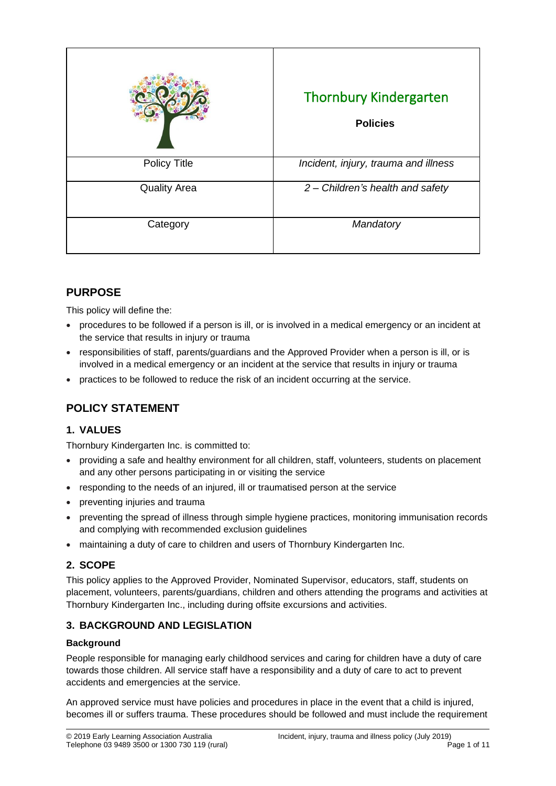|                     | <b>Thornbury Kindergarten</b><br><b>Policies</b> |
|---------------------|--------------------------------------------------|
| <b>Policy Title</b> | Incident, injury, trauma and illness             |
| <b>Quality Area</b> | 2 - Children's health and safety                 |
| Category            | Mandatory                                        |

## **PURPOSE**

This policy will define the:

- procedures to be followed if a person is ill, or is involved in a medical emergency or an incident at the service that results in injury or trauma
- responsibilities of staff, parents/guardians and the Approved Provider when a person is ill, or is involved in a medical emergency or an incident at the service that results in injury or trauma
- practices to be followed to reduce the risk of an incident occurring at the service.

## **POLICY STATEMENT**

## **1. VALUES**

Thornbury Kindergarten Inc. is committed to:

- providing a safe and healthy environment for all children, staff, volunteers, students on placement and any other persons participating in or visiting the service
- responding to the needs of an injured, ill or traumatised person at the service
- preventing injuries and trauma
- preventing the spread of illness through simple hygiene practices, monitoring immunisation records and complying with recommended exclusion guidelines
- maintaining a duty of care to children and users of Thornbury Kindergarten Inc.

### **2. SCOPE**

This policy applies to the Approved Provider, Nominated Supervisor, educators, staff, students on placement, volunteers, parents/guardians, children and others attending the programs and activities at Thornbury Kindergarten Inc., including during offsite excursions and activities.

## **3. BACKGROUND AND LEGISLATION**

#### **Background**

People responsible for managing early childhood services and caring for children have a duty of care towards those children. All service staff have a responsibility and a duty of care to act to prevent accidents and emergencies at the service.

An approved service must have policies and procedures in place in the event that a child is injured, becomes ill or suffers trauma. These procedures should be followed and must include the requirement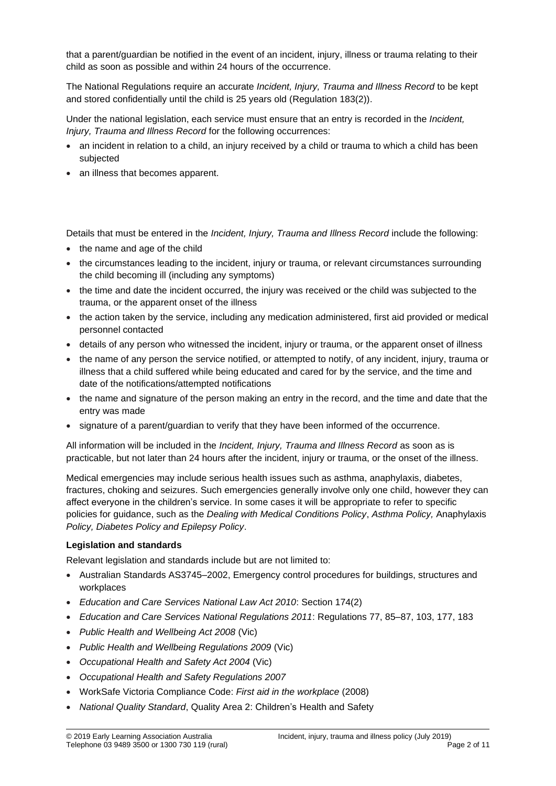that a parent/guardian be notified in the event of an incident, injury, illness or trauma relating to their child as soon as possible and within 24 hours of the occurrence.

The National Regulations require an accurate *Incident, Injury, Trauma and Illness Record* to be kept and stored confidentially until the child is 25 years old (Regulation 183(2)).

Under the national legislation, each service must ensure that an entry is recorded in the *Incident, Injury, Trauma and Illness Record* for the following occurrences:

- an incident in relation to a child, an injury received by a child or trauma to which a child has been subjected
- an illness that becomes apparent.

Details that must be entered in the *Incident, Injury, Trauma and Illness Record* include the following:

- the name and age of the child
- the circumstances leading to the incident, injury or trauma, or relevant circumstances surrounding the child becoming ill (including any symptoms)
- the time and date the incident occurred, the injury was received or the child was subjected to the trauma, or the apparent onset of the illness
- the action taken by the service, including any medication administered, first aid provided or medical personnel contacted
- details of any person who witnessed the incident, injury or trauma, or the apparent onset of illness
- the name of any person the service notified, or attempted to notify, of any incident, injury, trauma or illness that a child suffered while being educated and cared for by the service, and the time and date of the notifications/attempted notifications
- the name and signature of the person making an entry in the record, and the time and date that the entry was made
- signature of a parent/guardian to verify that they have been informed of the occurrence.

All information will be included in the *Incident, Injury, Trauma and Illness Record* as soon as is practicable, but not later than 24 hours after the incident, injury or trauma, or the onset of the illness.

Medical emergencies may include serious health issues such as asthma, anaphylaxis, diabetes, fractures, choking and seizures. Such emergencies generally involve only one child, however they can affect everyone in the children's service. In some cases it will be appropriate to refer to specific policies for guidance, such as the *Dealing with Medical Conditions Policy*, *Asthma Policy,* Anaphylaxis *Policy, Diabetes Policy and Epilepsy Policy*.

#### **Legislation and standards**

Relevant legislation and standards include but are not limited to:

- Australian Standards AS3745–2002, Emergency control procedures for buildings, structures and workplaces
- *Education and Care Services National Law Act 2010*: Section 174(2)
- *Education and Care Services National Regulations 2011*: Regulations 77, 85–87, 103, 177, 183
- *Public Health and Wellbeing Act 2008* (Vic)
- *Public Health and Wellbeing Regulations 2009* (Vic)
- *Occupational Health and Safety Act 2004* (Vic)
- *Occupational Health and Safety Regulations 2007*
- WorkSafe Victoria Compliance Code: *First aid in the workplace* (2008)
- *National Quality Standard*, Quality Area 2: Children's Health and Safety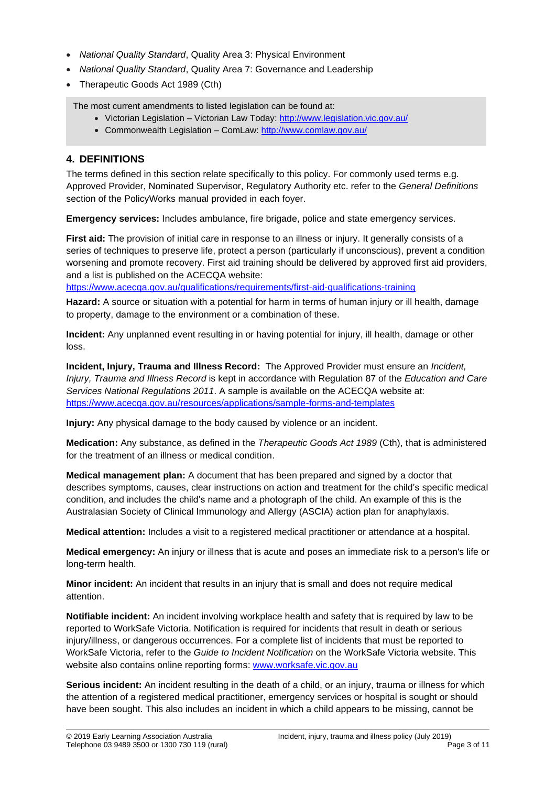- *National Quality Standard*, Quality Area 3: Physical Environment
- *National Quality Standard*, Quality Area 7: Governance and Leadership
- Therapeutic Goods Act 1989 (Cth)

The most current amendments to listed legislation can be found at:

- Victorian Legislation Victorian Law Today:<http://www.legislation.vic.gov.au/>
- Commonwealth Legislation ComLaw[: http://www.comlaw.gov.au/](http://www.comlaw.gov.au/)

### **4. DEFINITIONS**

The terms defined in this section relate specifically to this policy. For commonly used terms e.g. Approved Provider, Nominated Supervisor, Regulatory Authority etc. refer to the *General Definitions* section of the PolicyWorks manual provided in each foyer.

**Emergency services:** Includes ambulance, fire brigade, police and state emergency services.

**First aid:** The provision of initial care in response to an illness or injury. It generally consists of a series of techniques to preserve life, protect a person (particularly if unconscious), prevent a condition worsening and promote recovery. First aid training should be delivered by approved first aid providers, and a list is published on the ACECQA website:

<https://www.acecqa.gov.au/qualifications/requirements/first-aid-qualifications-training>

**Hazard:** A source or situation with a potential for harm in terms of human injury or ill health, damage to property, damage to the environment or a combination of these.

**Incident:** Any unplanned event resulting in or having potential for injury, ill health, damage or other loss.

**Incident, Injury, Trauma and Illness Record:** The Approved Provider must ensure an *Incident, Injury, Trauma and Illness Record* is kept in accordance with Regulation 87 of the *Education and Care Services National Regulations 2011*. A sample is available on the ACECQA website at: <https://www.acecqa.gov.au/resources/applications/sample-forms-and-templates>

**Injury:** Any physical damage to the body caused by violence or an incident.

**Medication:** Any substance, as defined in the *Therapeutic Goods Act 1989* (Cth), that is administered for the treatment of an illness or medical condition.

**Medical management plan:** A document that has been prepared and signed by a doctor that describes symptoms, causes, clear instructions on action and treatment for the child's specific medical condition, and includes the child's name and a photograph of the child. An example of this is the Australasian Society of Clinical Immunology and Allergy (ASCIA) action plan for anaphylaxis.

**Medical attention:** Includes a visit to a registered medical practitioner or attendance at a hospital.

**Medical emergency:** An injury or illness that is acute and poses an immediate risk to a person's life or long-term health.

**Minor incident:** An incident that results in an injury that is small and does not require medical attention.

**Notifiable incident:** An incident involving workplace health and safety that is required by law to be reported to WorkSafe Victoria. Notification is required for incidents that result in death or serious injury/illness, or dangerous occurrences. For a complete list of incidents that must be reported to WorkSafe Victoria, refer to the *Guide to Incident Notification* on the WorkSafe Victoria website. This website also contains online reporting forms: [www.worksafe.vic.gov.au](http://www.worksafe.vic.gov.au/)

**Serious incident:** An incident resulting in the death of a child, or an injury, trauma or illness for which the attention of a registered medical practitioner, emergency services or hospital is sought or should have been sought. This also includes an incident in which a child appears to be missing, cannot be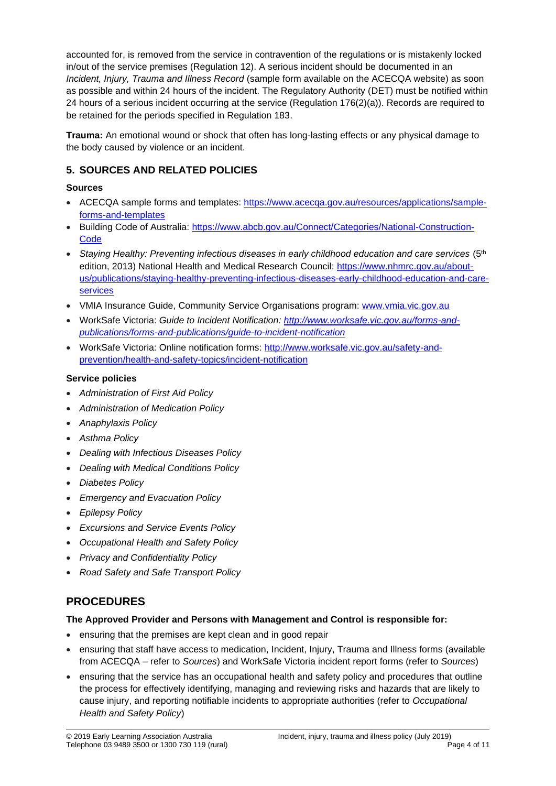accounted for, is removed from the service in contravention of the regulations or is mistakenly locked in/out of the service premises (Regulation 12). A serious incident should be documented in an *Incident, Injury, Trauma and Illness Record* (sample form available on the ACECQA website) as soon as possible and within 24 hours of the incident. The Regulatory Authority (DET) must be notified within 24 hours of a serious incident occurring at the service (Regulation 176(2)(a)). Records are required to be retained for the periods specified in Regulation 183.

**Trauma:** An emotional wound or shock that often has long-lasting effects or any physical damage to the body caused by violence or an incident.

### **5. SOURCES AND RELATED POLICIES**

#### **Sources**

- ACECQA sample forms and templates: [https://www.acecqa.gov.au/resources/applications/sample](https://www.acecqa.gov.au/resources/applications/sample-forms-and-templates)[forms-and-templates](https://www.acecqa.gov.au/resources/applications/sample-forms-and-templates)
- Building Code of Australia: [https://www.abcb.gov.au/Connect/Categories/National-Construction-](https://www.abcb.gov.au/Connect/Categories/National-Construction-Code)**[Code](https://www.abcb.gov.au/Connect/Categories/National-Construction-Code)**
- *Staying Healthy: Preventing infectious diseases in early childhood education and care services* (5th edition, 2013) National Health and Medical Research Council: [https://www.nhmrc.gov.au/about](https://www.nhmrc.gov.au/about-us/publications/staying-healthy-preventing-infectious-diseases-early-childhood-education-and-care-services)[us/publications/staying-healthy-preventing-infectious-diseases-early-childhood-education-and-care](https://www.nhmrc.gov.au/about-us/publications/staying-healthy-preventing-infectious-diseases-early-childhood-education-and-care-services)[services](https://www.nhmrc.gov.au/about-us/publications/staying-healthy-preventing-infectious-diseases-early-childhood-education-and-care-services)
- VMIA Insurance Guide, Community Service Organisations program: [www.vmia.vic.gov.au](http://www.vmia.vic.gov.au/)
- WorkSafe Victoria: *Guide to Incident Notification: [http://www.worksafe.vic.gov.au/forms-and](http://www.worksafe.vic.gov.au/forms-and-publications/forms-and-publications/guide-to-incident-notification)[publications/forms-and-publications/guide-to-incident-notification](http://www.worksafe.vic.gov.au/forms-and-publications/forms-and-publications/guide-to-incident-notification)*
- WorkSafe Victoria: Online notification forms: [http://www.worksafe.vic.gov.au/safety-and](http://www.worksafe.vic.gov.au/safety-and-prevention/health-and-safety-topics/incident-notification)[prevention/health-and-safety-topics/incident-notification](http://www.worksafe.vic.gov.au/safety-and-prevention/health-and-safety-topics/incident-notification)

#### **Service policies**

- *Administration of First Aid Policy*
- *Administration of Medication Policy*
- *Anaphylaxis Policy*
- *Asthma Policy*
- *Dealing with Infectious Diseases Policy*
- *Dealing with Medical Conditions Policy*
- *Diabetes Policy*
- *Emergency and Evacuation Policy*
- *Epilepsy Policy*
- *Excursions and Service Events Policy*
- *Occupational Health and Safety Policy*
- *Privacy and Confidentiality Policy*
- *Road Safety and Safe Transport Policy*

## **PROCEDURES**

#### **The Approved Provider and Persons with Management and Control is responsible for:**

- ensuring that the premises are kept clean and in good repair
- ensuring that staff have access to medication, Incident, Injury, Trauma and Illness forms (available from ACECQA – refer to *Sources*) and WorkSafe Victoria incident report forms (refer to *Sources*)
- ensuring that the service has an occupational health and safety policy and procedures that outline the process for effectively identifying, managing and reviewing risks and hazards that are likely to cause injury, and reporting notifiable incidents to appropriate authorities (refer to *Occupational Health and Safety Policy*)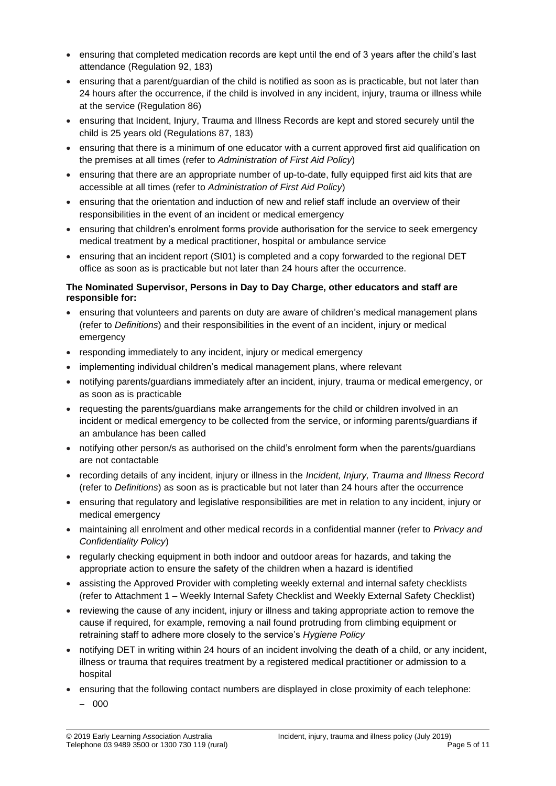- ensuring that completed medication records are kept until the end of 3 years after the child's last attendance (Regulation 92, 183)
- ensuring that a parent/guardian of the child is notified as soon as is practicable, but not later than 24 hours after the occurrence, if the child is involved in any incident, injury, trauma or illness while at the service (Regulation 86)
- ensuring that Incident, Injury, Trauma and Illness Records are kept and stored securely until the child is 25 years old (Regulations 87, 183)
- ensuring that there is a minimum of one educator with a current approved first aid qualification on the premises at all times (refer to *Administration of First Aid Policy*)
- ensuring that there are an appropriate number of up-to-date, fully equipped first aid kits that are accessible at all times (refer to *Administration of First Aid Policy*)
- ensuring that the orientation and induction of new and relief staff include an overview of their responsibilities in the event of an incident or medical emergency
- ensuring that children's enrolment forms provide authorisation for the service to seek emergency medical treatment by a medical practitioner, hospital or ambulance service
- ensuring that an incident report (SI01) is completed and a copy forwarded to the regional DET office as soon as is practicable but not later than 24 hours after the occurrence.

#### **The Nominated Supervisor, Persons in Day to Day Charge, other educators and staff are responsible for:**

- ensuring that volunteers and parents on duty are aware of children's medical management plans (refer to *Definitions*) and their responsibilities in the event of an incident, injury or medical emergency
- responding immediately to any incident, injury or medical emergency
- implementing individual children's medical management plans, where relevant
- notifying parents/guardians immediately after an incident, injury, trauma or medical emergency, or as soon as is practicable
- requesting the parents/guardians make arrangements for the child or children involved in an incident or medical emergency to be collected from the service, or informing parents/guardians if an ambulance has been called
- notifying other person/s as authorised on the child's enrolment form when the parents/guardians are not contactable
- recording details of any incident, injury or illness in the *Incident, Injury, Trauma and Illness Record* (refer to *Definitions*) as soon as is practicable but not later than 24 hours after the occurrence
- ensuring that regulatory and legislative responsibilities are met in relation to any incident, injury or medical emergency
- maintaining all enrolment and other medical records in a confidential manner (refer to *Privacy and Confidentiality Policy*)
- regularly checking equipment in both indoor and outdoor areas for hazards, and taking the appropriate action to ensure the safety of the children when a hazard is identified
- assisting the Approved Provider with completing weekly external and internal safety checklists (refer to Attachment 1 – Weekly Internal Safety Checklist and Weekly External Safety Checklist)
- reviewing the cause of any incident, injury or illness and taking appropriate action to remove the cause if required, for example, removing a nail found protruding from climbing equipment or retraining staff to adhere more closely to the service's *Hygiene Policy*
- notifying DET in writing within 24 hours of an incident involving the death of a child, or any incident, illness or trauma that requires treatment by a registered medical practitioner or admission to a hospital
- ensuring that the following contact numbers are displayed in close proximity of each telephone: − 000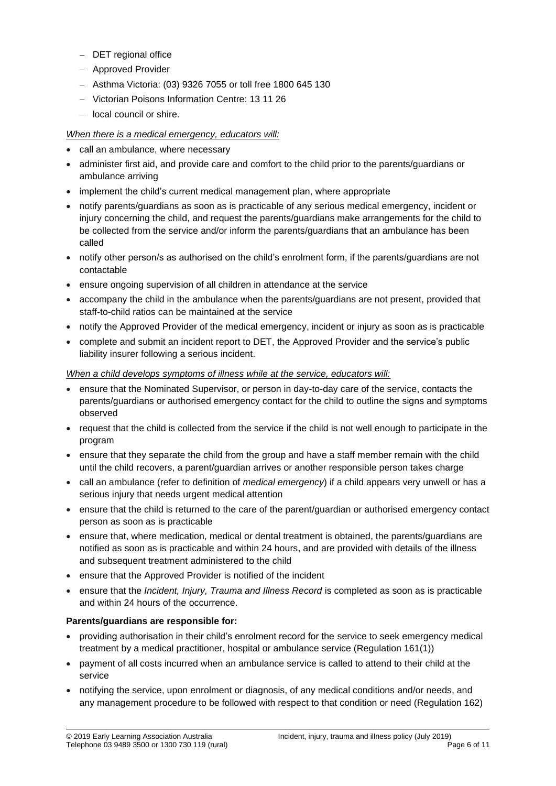- − DET regional office
- − Approved Provider
- − Asthma Victoria: (03) 9326 7055 or toll free 1800 645 130
- − Victorian Poisons Information Centre: 13 11 26
- − local council or shire.

#### *When there is a medical emergency, educators will:*

- call an ambulance, where necessary
- administer first aid, and provide care and comfort to the child prior to the parents/guardians or ambulance arriving
- implement the child's current medical management plan, where appropriate
- notify parents/guardians as soon as is practicable of any serious medical emergency, incident or injury concerning the child, and request the parents/guardians make arrangements for the child to be collected from the service and/or inform the parents/guardians that an ambulance has been called
- notify other person/s as authorised on the child's enrolment form, if the parents/guardians are not contactable
- ensure ongoing supervision of all children in attendance at the service
- accompany the child in the ambulance when the parents/guardians are not present, provided that staff-to-child ratios can be maintained at the service
- notify the Approved Provider of the medical emergency, incident or injury as soon as is practicable
- complete and submit an incident report to DET, the Approved Provider and the service's public liability insurer following a serious incident.

#### *When a child develops symptoms of illness while at the service, educators will:*

- ensure that the Nominated Supervisor, or person in day-to-day care of the service, contacts the parents/guardians or authorised emergency contact for the child to outline the signs and symptoms observed
- request that the child is collected from the service if the child is not well enough to participate in the program
- ensure that they separate the child from the group and have a staff member remain with the child until the child recovers, a parent/guardian arrives or another responsible person takes charge
- call an ambulance (refer to definition of *medical emergency*) if a child appears very unwell or has a serious injury that needs urgent medical attention
- ensure that the child is returned to the care of the parent/guardian or authorised emergency contact person as soon as is practicable
- ensure that, where medication, medical or dental treatment is obtained, the parents/guardians are notified as soon as is practicable and within 24 hours, and are provided with details of the illness and subsequent treatment administered to the child
- ensure that the Approved Provider is notified of the incident
- ensure that the *Incident, Injury, Trauma and Illness Record* is completed as soon as is practicable and within 24 hours of the occurrence.

#### **Parents/guardians are responsible for:**

- providing authorisation in their child's enrolment record for the service to seek emergency medical treatment by a medical practitioner, hospital or ambulance service (Regulation 161(1))
- payment of all costs incurred when an ambulance service is called to attend to their child at the service
- notifying the service, upon enrolment or diagnosis, of any medical conditions and/or needs, and any management procedure to be followed with respect to that condition or need (Regulation 162)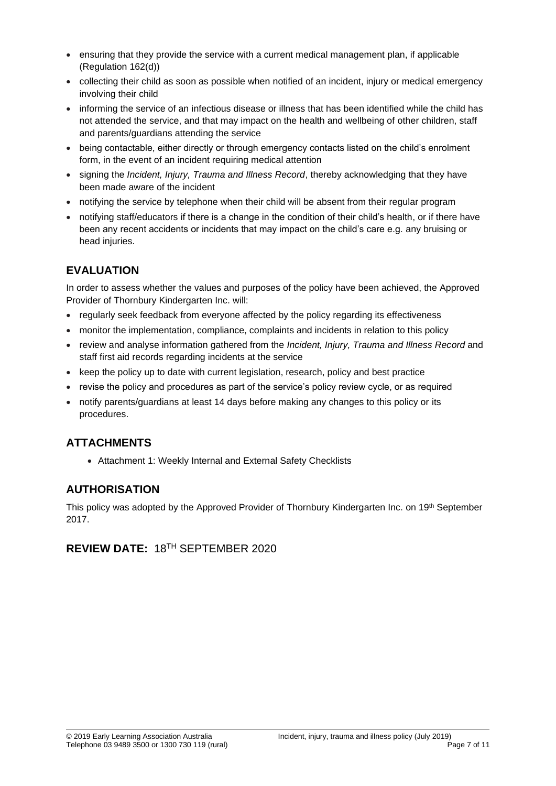- ensuring that they provide the service with a current medical management plan, if applicable (Regulation 162(d))
- collecting their child as soon as possible when notified of an incident, injury or medical emergency involving their child
- informing the service of an infectious disease or illness that has been identified while the child has not attended the service, and that may impact on the health and wellbeing of other children, staff and parents/guardians attending the service
- being contactable, either directly or through emergency contacts listed on the child's enrolment form, in the event of an incident requiring medical attention
- signing the *Incident, Injury, Trauma and Illness Record*, thereby acknowledging that they have been made aware of the incident
- notifying the service by telephone when their child will be absent from their regular program
- notifying staff/educators if there is a change in the condition of their child's health, or if there have been any recent accidents or incidents that may impact on the child's care e.g. any bruising or head injuries.

## **EVALUATION**

In order to assess whether the values and purposes of the policy have been achieved, the Approved Provider of Thornbury Kindergarten Inc. will:

- regularly seek feedback from everyone affected by the policy regarding its effectiveness
- monitor the implementation, compliance, complaints and incidents in relation to this policy
- review and analyse information gathered from the *Incident, Injury, Trauma and Illness Record* and staff first aid records regarding incidents at the service
- keep the policy up to date with current legislation, research, policy and best practice
- revise the policy and procedures as part of the service's policy review cycle, or as required
- notify parents/guardians at least 14 days before making any changes to this policy or its procedures.

## **ATTACHMENTS**

• Attachment 1: Weekly Internal and External Safety Checklists

## **AUTHORISATION**

This policy was adopted by the Approved Provider of Thornbury Kindergarten Inc. on 19<sup>th</sup> September 2017.

# **REVIEW DATE:** 18TH SEPTEMBER 2020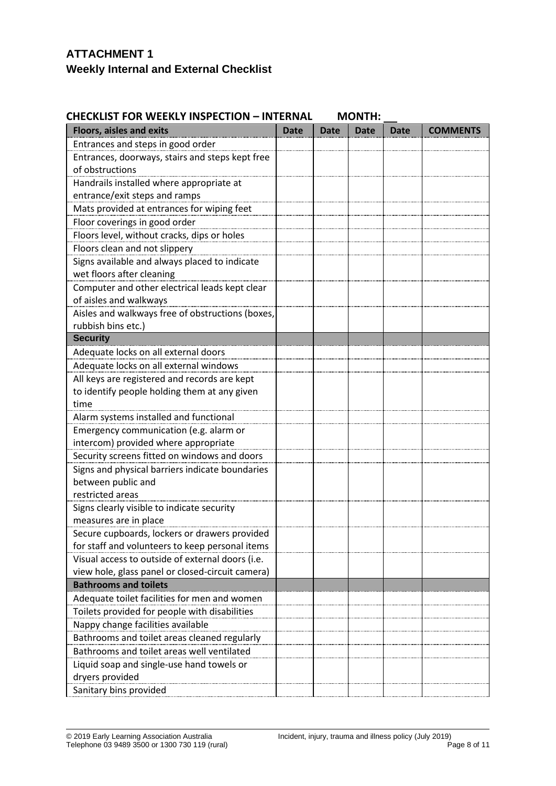# **ATTACHMENT 1 Weekly Internal and External Checklist**

### **CHECKLIST FOR WEEKLY INSPECTION - INTERNAL MONTH:**

| <b>Floors, aisles and exits</b>                  | <b>Date</b> | <b>Date</b> | <b>Date</b> | <b>Date</b> | <b>COMMENTS</b> |
|--------------------------------------------------|-------------|-------------|-------------|-------------|-----------------|
| Entrances and steps in good order                |             |             |             |             |                 |
| Entrances, doorways, stairs and steps kept free  |             |             |             |             |                 |
| of obstructions                                  |             |             |             |             |                 |
| Handrails installed where appropriate at         |             |             |             |             |                 |
| entrance/exit steps and ramps                    |             |             |             |             |                 |
| Mats provided at entrances for wiping feet       |             |             |             |             |                 |
| Floor coverings in good order                    |             |             |             |             |                 |
| Floors level, without cracks, dips or holes      |             |             |             |             |                 |
| Floors clean and not slippery                    |             |             |             |             |                 |
| Signs available and always placed to indicate    |             |             |             |             |                 |
| wet floors after cleaning                        |             |             |             |             |                 |
| Computer and other electrical leads kept clear   |             |             |             |             |                 |
| of aisles and walkways                           |             |             |             |             |                 |
| Aisles and walkways free of obstructions (boxes, |             |             |             |             |                 |
| rubbish bins etc.)                               |             |             |             |             |                 |
| <b>Security</b>                                  |             |             |             |             |                 |
| Adequate locks on all external doors             |             |             |             |             |                 |
| Adequate locks on all external windows           |             |             |             |             |                 |
| All keys are registered and records are kept     |             |             |             |             |                 |
| to identify people holding them at any given     |             |             |             |             |                 |
| time                                             |             |             |             |             |                 |
| Alarm systems installed and functional           |             |             |             |             |                 |
| Emergency communication (e.g. alarm or           |             |             |             |             |                 |
| intercom) provided where appropriate             |             |             |             |             |                 |
| Security screens fitted on windows and doors     |             |             |             |             |                 |
| Signs and physical barriers indicate boundaries  |             |             |             |             |                 |
| between public and                               |             |             |             |             |                 |
| restricted areas                                 |             |             |             |             |                 |
| Signs clearly visible to indicate security       |             |             |             |             |                 |
| measures are in place                            |             |             |             |             |                 |
| Secure cupboards, lockers or drawers provided    |             |             |             |             |                 |
| for staff and volunteers to keep personal items  |             |             |             |             |                 |
| Visual access to outside of external doors (i.e. |             |             |             |             |                 |
| view hole, glass panel or closed-circuit camera) |             |             |             |             |                 |
| <b>Bathrooms and toilets</b>                     |             |             |             |             |                 |
| Adequate toilet facilities for men and women     |             |             |             |             |                 |
| Toilets provided for people with disabilities    |             |             |             |             |                 |
| Nappy change facilities available                |             |             |             |             |                 |
| Bathrooms and toilet areas cleaned regularly     |             |             |             |             |                 |
| Bathrooms and toilet areas well ventilated       |             |             |             |             |                 |
| Liquid soap and single-use hand towels or        |             |             |             |             |                 |
| dryers provided                                  |             |             |             |             |                 |
| Sanitary bins provided                           |             |             |             |             |                 |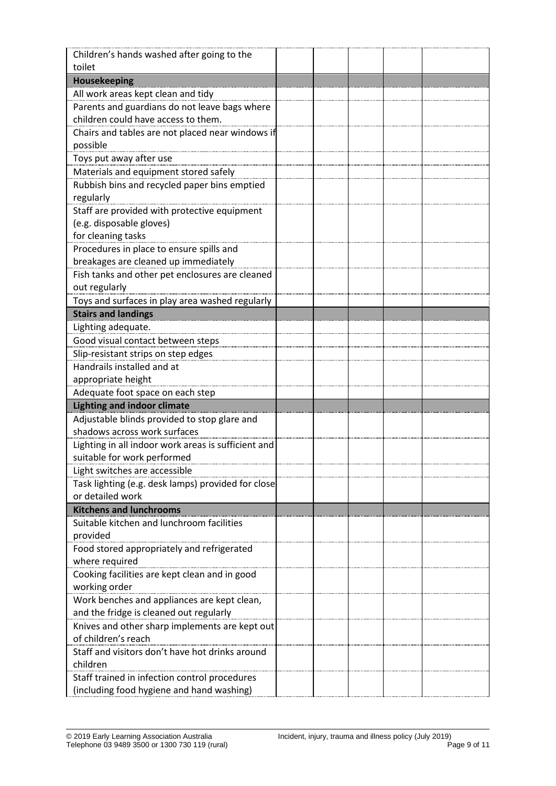| Children's hands washed after going to the                                             |  |  |  |
|----------------------------------------------------------------------------------------|--|--|--|
| toilet                                                                                 |  |  |  |
| Housekeeping                                                                           |  |  |  |
| All work areas kept clean and tidy                                                     |  |  |  |
| Parents and guardians do not leave bags where                                          |  |  |  |
| children could have access to them.                                                    |  |  |  |
| Chairs and tables are not placed near windows if                                       |  |  |  |
| possible                                                                               |  |  |  |
| Toys put away after use                                                                |  |  |  |
| Materials and equipment stored safely                                                  |  |  |  |
| Rubbish bins and recycled paper bins emptied                                           |  |  |  |
| regularly                                                                              |  |  |  |
| Staff are provided with protective equipment                                           |  |  |  |
| (e.g. disposable gloves)                                                               |  |  |  |
| for cleaning tasks                                                                     |  |  |  |
| Procedures in place to ensure spills and                                               |  |  |  |
| breakages are cleaned up immediately                                                   |  |  |  |
| Fish tanks and other pet enclosures are cleaned                                        |  |  |  |
| out regularly                                                                          |  |  |  |
| Toys and surfaces in play area washed regularly                                        |  |  |  |
| <b>Stairs and landings</b>                                                             |  |  |  |
| Lighting adequate.                                                                     |  |  |  |
| Good visual contact between steps                                                      |  |  |  |
| Slip-resistant strips on step edges                                                    |  |  |  |
| Handrails installed and at                                                             |  |  |  |
| appropriate height                                                                     |  |  |  |
| Adequate foot space on each step                                                       |  |  |  |
| <b>Lighting and indoor climate</b>                                                     |  |  |  |
| Adjustable blinds provided to stop glare and                                           |  |  |  |
| shadows across work surfaces                                                           |  |  |  |
| Lighting in all indoor work areas is sufficient and                                    |  |  |  |
| suitable for work performed                                                            |  |  |  |
| Light switches are accessible                                                          |  |  |  |
| Task lighting (e.g. desk lamps) provided for close                                     |  |  |  |
| or detailed work                                                                       |  |  |  |
| <b>Kitchens and lunchrooms</b>                                                         |  |  |  |
| Suitable kitchen and lunchroom facilities                                              |  |  |  |
| provided                                                                               |  |  |  |
| Food stored appropriately and refrigerated                                             |  |  |  |
| where required                                                                         |  |  |  |
| Cooking facilities are kept clean and in good                                          |  |  |  |
| working order                                                                          |  |  |  |
| Work benches and appliances are kept clean,<br>and the fridge is cleaned out regularly |  |  |  |
|                                                                                        |  |  |  |
| Knives and other sharp implements are kept out<br>of children's reach                  |  |  |  |
| Staff and visitors don't have hot drinks around                                        |  |  |  |
| children                                                                               |  |  |  |
| Staff trained in infection control procedures                                          |  |  |  |
| (including food hygiene and hand washing)                                              |  |  |  |
|                                                                                        |  |  |  |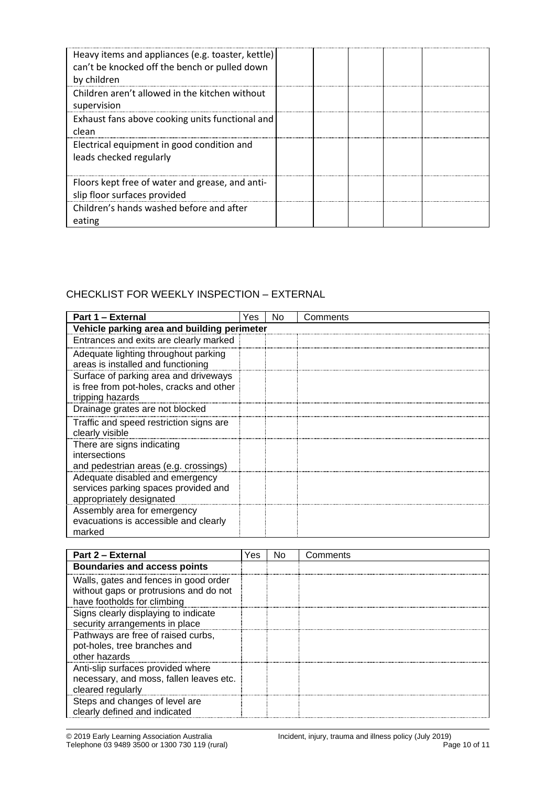| Heavy items and appliances (e.g. toaster, kettle)<br>can't be knocked off the bench or pulled down<br>by children |  |  |  |
|-------------------------------------------------------------------------------------------------------------------|--|--|--|
| Children aren't allowed in the kitchen without<br>supervision                                                     |  |  |  |
| Exhaust fans above cooking units functional and<br>clean                                                          |  |  |  |
| Electrical equipment in good condition and<br>leads checked regularly                                             |  |  |  |
| Floors kept free of water and grease, and anti-<br>slip floor surfaces provided                                   |  |  |  |
| Children's hands washed before and after<br>eating                                                                |  |  |  |

# CHECKLIST FOR WEEKLY INSPECTION – EXTERNAL

| Part 1 - External                                                                                     | Yes | No | Comments |  |  |  |
|-------------------------------------------------------------------------------------------------------|-----|----|----------|--|--|--|
| Vehicle parking area and building perimeter                                                           |     |    |          |  |  |  |
| Entrances and exits are clearly marked                                                                |     |    |          |  |  |  |
| Adequate lighting throughout parking<br>areas is installed and functioning                            |     |    |          |  |  |  |
| Surface of parking area and driveways<br>is free from pot-holes, cracks and other<br>tripping hazards |     |    |          |  |  |  |
| Drainage grates are not blocked                                                                       |     |    |          |  |  |  |
| Traffic and speed restriction signs are<br>clearly visible                                            |     |    |          |  |  |  |
| There are signs indicating<br>intersections<br>and pedestrian areas (e.g. crossings)                  |     |    |          |  |  |  |
| Adequate disabled and emergency<br>services parking spaces provided and<br>appropriately designated   |     |    |          |  |  |  |
| Assembly area for emergency<br>evacuations is accessible and clearly<br>marked                        |     |    |          |  |  |  |

| Part 2 - External                                                                                              | Yes | No | Comments |
|----------------------------------------------------------------------------------------------------------------|-----|----|----------|
| <b>Boundaries and access points</b>                                                                            |     |    |          |
| Walls, gates and fences in good order<br>without gaps or protrusions and do not<br>have footholds for climbing |     |    |          |
| Signs clearly displaying to indicate<br>security arrangements in place                                         |     |    |          |
| Pathways are free of raised curbs,<br>pot-holes, tree branches and<br>other hazards                            |     |    |          |
| Anti-slip surfaces provided where<br>necessary, and moss, fallen leaves etc.<br>cleared regularly              |     |    |          |
| Steps and changes of level are<br>clearly defined and indicated                                                |     |    |          |